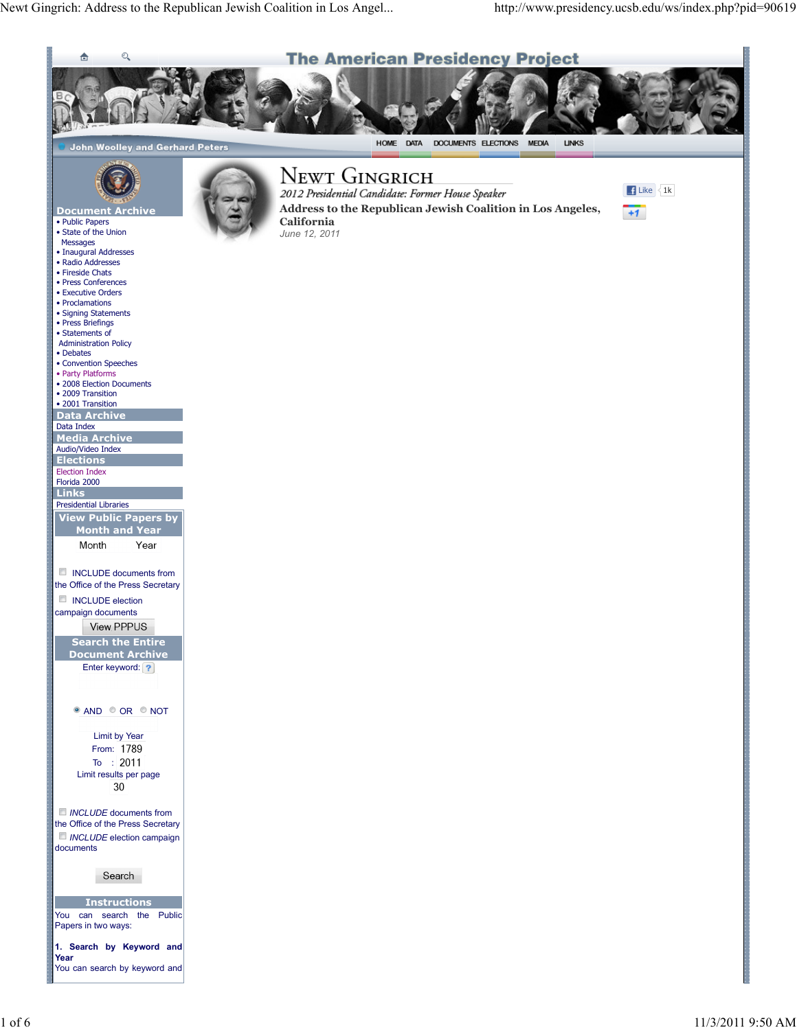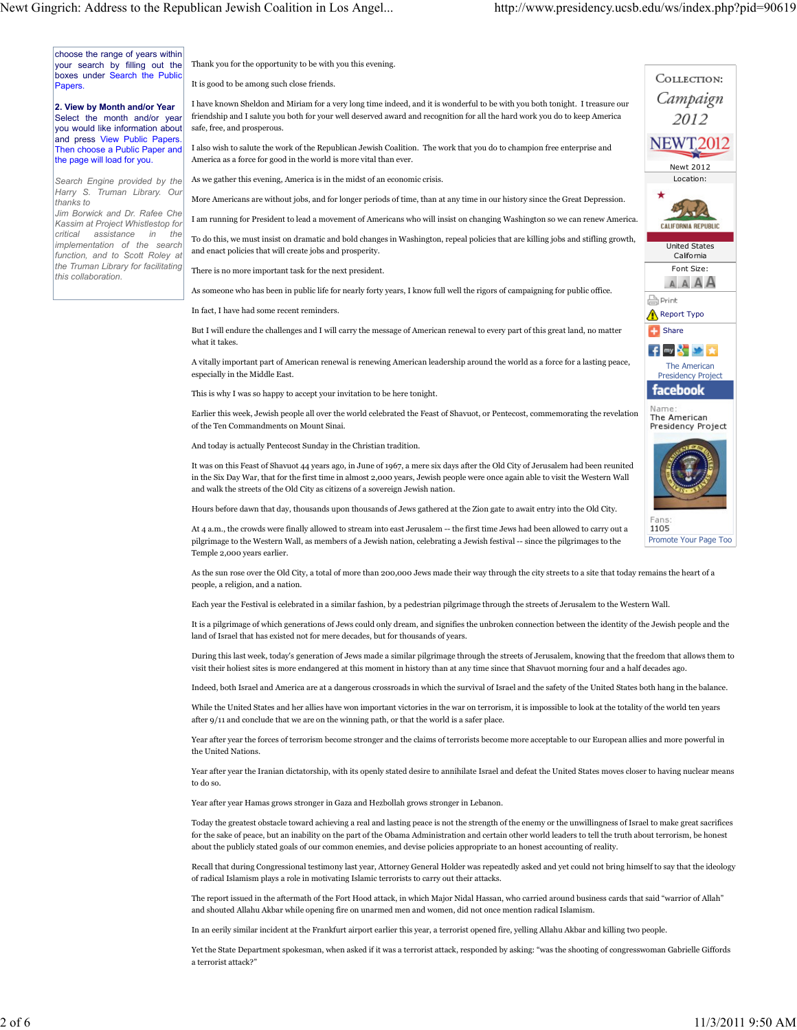choose the range of years within your search by filling out the boxes under Search the Public **Papers** 

2. View by Month and/or Year Select the month and/or year you would like information about and press View Public Papers Then choose a Public Paper and the page will load for you.

Search Engine provided by the Harry S. Truman Library. Our thanks to

Jim Borwick and Dr. Rafee Che Kassim at Project Whistlestop for critical assistance in the implementation of the search function, and to Scott Roley at the Truman Library for facilitating this collaboration.

Thank you for the opportunity to be with you this evening. It is good to be among such close friends.

I have known Sheldon and Miriam for a very long time indeed, and it is wonderful to be with you both tonight. I treasure our friendship and I salute you both for your well deserved award and recognition for all the hard work you do to keep America safe, free, and prosperous.

I also wish to salute the work of the Republican Jewish Coalition. The work that you do to champion free enterprise and America as a force for good in the world is more vital than ever.

As we gather this evening, America is in the midst of an economic crisis.

More Americans are without jobs, and for longer periods of time, than at any time in our history since the Great Depression.

I am running for President to lead a movement of Americans who will insist on changing Washington so we can renew America.

To do this, we must insist on dramatic and bold changes in Washington, repeal policies that are killing jobs and stifling growth, and enact policies that will create jobs and prosperity.

There is no more important task for the next president.

As someone who has been in public life for nearly forty years, I know full well the rigors of campaigning for public office.

In fact, I have had some recent reminders.

But I will endure the challenges and I will carry the message of American renewal to every part of this great land, no matter what it takes.

A vitally important part of American renewal is renewing American leadership around the world as a force for a lasting peace, especially in the Middle East.

This is why I was so happy to accept your invitation to be here tonight.

Earlier this week, Jewish people all over the world celebrated the Feast of Shavuot, or Pentecost, commemorating the revelation of the Ten Commandments on Mount Sinai.

And today is actually Pentecost Sunday in the Christian tradition.

It was on this Feast of Shavuot 44 years ago, in June of 1967, a mere six days after the Old City of Jerusalem had been reunited in the Six Day War, that for the first time in almost 2,000 years, Jewish people were once again able to visit the Western Wall and walk the streets of the Old City as citizens of a sovereign Jewish nation.

Hours before dawn that day, thousands upon thousands of Jews gathered at the Zion gate to await entry into the Old City.

At 4 a.m., the crowds were finally allowed to stream into east Jerusalem -- the first time Jews had been allowed to carry out a pilgrimage to the Western Wall, as members of a Jewish nation, celebrating a Jewish festival -- since the pilgrimages to the Temple 2,000 years earlier.

As the sun rose over the Old City, a total of more than 200,000 Jews made their way through the city streets to a site that today remains the heart of a people, a religion, and a nation.

Each year the Festival is celebrated in a similar fashion, by a pedestrian pilgrimage through the streets of Jerusalem to the Western Wall.

It is a pilgrimage of which generations of Jews could only dream, and signifies the unbroken connection between the identity of the Jewish people and the land of Israel that has existed not for mere decades, but for thousands of years.

During this last week, today's generation of Jews made a similar pilgrimage through the streets of Jerusalem, knowing that the freedom that allows them to visit their holiest sites is more endangered at this moment in history than at any time since that Shavuot morning four and a half decades ago.

Indeed, both Israel and America are at a dangerous crossroads in which the survival of Israel and the safety of the United States both hang in the balance.

While the United States and her allies have won important victories in the war on terrorism, it is impossible to look at the totality of the world ten years after 9/11 and conclude that we are on the winning path, or that the world is a safer place.

Year after year the forces of terrorism become stronger and the claims of terrorists become more acceptable to our European allies and more powerful in the United Nations.

Year after year the Iranian dictatorship, with its openly stated desire to annihilate Israel and defeat the United States moves closer to having nuclear means to do so.

Year after year Hamas grows stronger in Gaza and Hezbollah grows stronger in Lebanon.

Today the greatest obstacle toward achieving a real and lasting peace is not the strength of the enemy or the unwillingness of Israel to make great sacrifices for the sake of peace, but an inability on the part of the Obama Administration and certain other world leaders to tell the truth about terrorism, be honest about the publicly stated goals of our common enemies, and devise policies appropriate to an honest accounting of reality.

Recall that during Congressional testimony last year, Attorney General Holder was repeatedly asked and yet could not bring himself to say that the ideology of radical Islamism plays a role in motivating Islamic terrorists to carry out their attacks.

The report issued in the aftermath of the Fort Hood attack, in which Major Nidal Hassan, who carried around business cards that said "warrior of Allah" and shouted Allahu Akbar while opening fire on unarmed men and women, did not once mention radical Islamism.

In an eerily similar incident at the Frankfurt airport earlier this year, a terrorist opened fire, yelling Allahu Akbar and killing two people.

Yet the State Department spokesman, when asked if it was a terrorist attack, responded by asking: "was the shooting of congresswoman Gabrielle Giffords a terrorist attack?"



Promote Your Page Too

Newt 2012 Location:

COLLECTION: Campaign 2012 **NEWT2012** 

> United States California Font Size:

**AAAA** 

**CALIFORNIA REPUBLIC** 

1105

**Share** 

**A** Print

Report Typo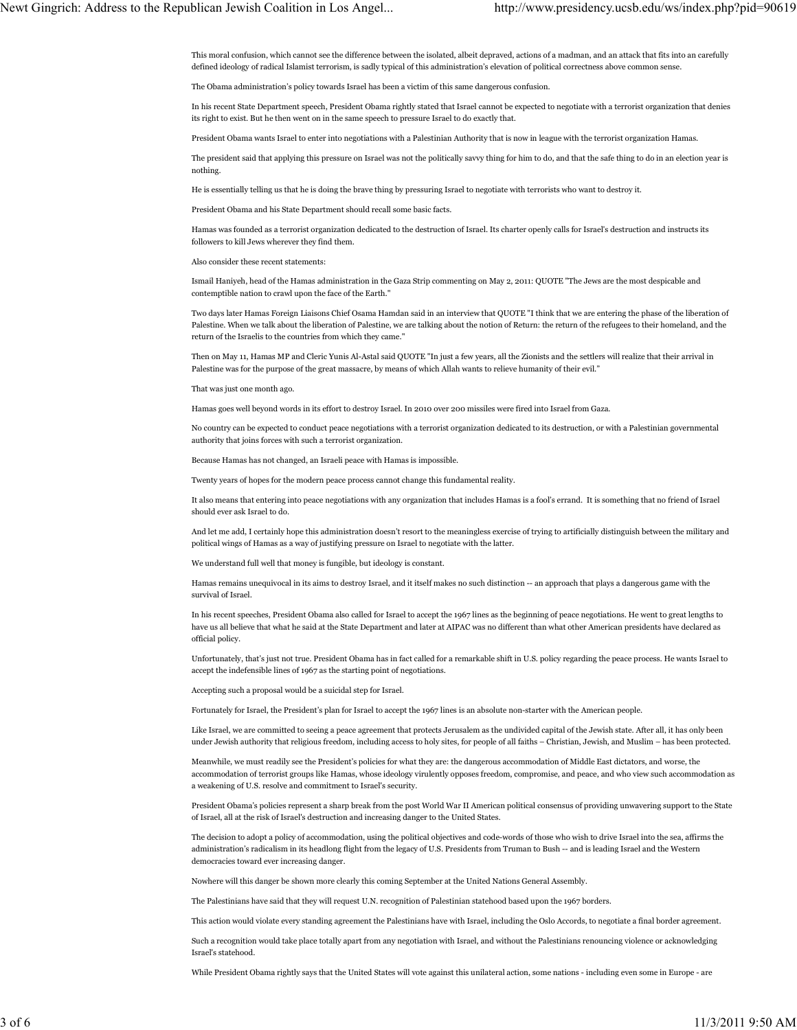This moral confusion, which cannot see the difference between the isolated, albeit depraved, actions of a madman, and an attack that fits into an carefully defined ideology of radical Islamist terrorism, is sadly typical of this administration's elevation of political correctness above common sense.

The Obama administration's policy towards Israel has been a victim of this same dangerous confusion.

In his recent State Department speech, President Obama rightly stated that Israel cannot be expected to negotiate with a terrorist organization that denies its right to exist. But he then went on in the same speech to pressure Israel to do exactly that.

President Obama wants Israel to enter into negotiations with a Palestinian Authority that is now in league with the terrorist organization Hamas.

The president said that applying this pressure on Israel was not the politically savvy thing for him to do, and that the safe thing to do in an election year is nothing.

He is essentially telling us that he is doing the brave thing by pressuring Israel to negotiate with terrorists who want to destroy it.

President Obama and his State Department should recall some basic facts.

Hamas was founded as a terrorist organization dedicated to the destruction of Israel. Its charter openly calls for Israel's destruction and instructs its followers to kill Jews wherever they find them.

Also consider these recent statements:

Ismail Haniyeh, head of the Hamas administration in the Gaza Strip commenting on May 2, 2011: QUOTE "The Jews are the most despicable and contemptible nation to crawl upon the face of the Earth."

Two days later Hamas Foreign Liaisons Chief Osama Hamdan said in an interview that QUOTE "I think that we are entering the phase of the liberation of Palestine. When we talk about the liberation of Palestine, we are talking about the notion of Return: the return of the refugees to their homeland, and the return of the Israelis to the countries from which they came."

Then on May 11, Hamas MP and Cleric Yunis Al-Astal said QUOTE "In just a few years, all the Zionists and the settlers will realize that their arrival in Palestine was for the purpose of the great massacre, by means of which Allah wants to relieve humanity of their evil."

That was just one month ago.

Hamas goes well beyond words in its effort to destroy Israel. In 2010 over 200 missiles were fired into Israel from Gaza.

No country can be expected to conduct peace negotiations with a terrorist organization dedicated to its destruction, or with a Palestinian governmental authority that joins forces with such a terrorist organization.

Because Hamas has not changed, an Israeli peace with Hamas is impossible.

Twenty years of hopes for the modern peace process cannot change this fundamental reality.

It also means that entering into peace negotiations with any organization that includes Hamas is a fool's errand. It is something that no friend of Israel should ever ask Israel to do.

And let me add, I certainly hope this administration doesn't resort to the meaningless exercise of trying to artificially distinguish between the military and political wings of Hamas as a way of justifying pressure on Israel to negotiate with the latter.

We understand full well that money is fungible, but ideology is constant.

Hamas remains unequivocal in its aims to destroy Israel, and it itself makes no such distinction -- an approach that plays a dangerous game with the survival of Israel.

In his recent speeches, President Obama also called for Israel to accept the 1967 lines as the beginning of peace negotiations. He went to great lengths to have us all believe that what he said at the State Department and later at AIPAC was no different than what other American presidents have declared as official policy.

Unfortunately, that's just not true. President Obama has in fact called for a remarkable shift in U.S. policy regarding the peace process. He wants Israel to accept the indefensible lines of 1967 as the starting point of negotiations.

Accepting such a proposal would be a suicidal step for Israel.

Fortunately for Israel, the President's plan for Israel to accept the 1967 lines is an absolute non-starter with the American people.

Like Israel, we are committed to seeing a peace agreement that protects Jerusalem as the undivided capital of the Jewish state. After all, it has only been under Jewish authority that religious freedom, including access to holy sites, for people of all faiths – Christian, Jewish, and Muslim – has been protected.

Meanwhile, we must readily see the President's policies for what they are: the dangerous accommodation of Middle East dictators, and worse, the accommodation of terrorist groups like Hamas, whose ideology virulently opposes freedom, compromise, and peace, and who view such accommodation as a weakening of U.S. resolve and commitment to Israel's security.

President Obama's policies represent a sharp break from the post World War II American political consensus of providing unwavering support to the State of Israel, all at the risk of Israel's destruction and increasing danger to the United States.

The decision to adopt a policy of accommodation, using the political objectives and code-words of those who wish to drive Israel into the sea, affirms the administration's radicalism in its headlong flight from the legacy of U.S. Presidents from Truman to Bush -- and is leading Israel and the Western democracies toward ever increasing danger.

Nowhere will this danger be shown more clearly this coming September at the United Nations General Assembly.

The Palestinians have said that they will request U.N. recognition of Palestinian statehood based upon the 1967 borders.

This action would violate every standing agreement the Palestinians have with Israel, including the Oslo Accords, to negotiate a final border agreement.

Such a recognition would take place totally apart from any negotiation with Israel, and without the Palestinians renouncing violence or acknowledging Israel's statehood.

While President Obama rightly says that the United States will vote against this unilateral action, some nations - including even some in Europe - are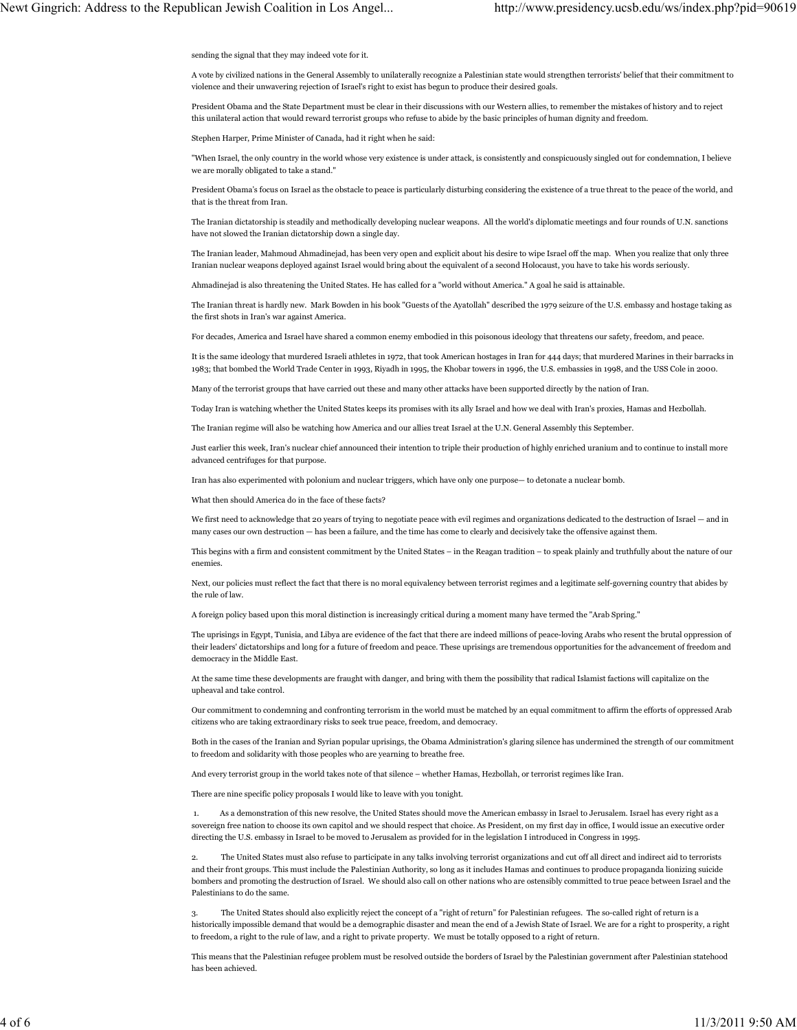sending the signal that they may indeed vote for it.

A vote by civilized nations in the General Assembly to unilaterally recognize a Palestinian state would strengthen terrorists' belief that their commitment to violence and their unwavering rejection of Israel's right to exist has begun to produce their desired goals.

President Obama and the State Department must be clear in their discussions with our Western allies, to remember the mistakes of history and to reject this unilateral action that would reward terrorist groups who refuse to abide by the basic principles of human dignity and freedom.

Stephen Harper, Prime Minister of Canada, had it right when he said:

"When Israel, the only country in the world whose very existence is under attack, is consistently and conspicuously singled out for condemnation, I believe we are morally obligated to take a stand."

President Obama's focus on Israel as the obstacle to peace is particularly disturbing considering the existence of a true threat to the peace of the world, and that is the threat from Iran.

The Iranian dictatorship is steadily and methodically developing nuclear weapons. All the world's diplomatic meetings and four rounds of U.N. sanctions have not slowed the Iranian dictatorship down a single day.

The Iranian leader, Mahmoud Ahmadinejad, has been very open and explicit about his desire to wipe Israel off the map. When you realize that only three Iranian nuclear weapons deployed against Israel would bring about the equivalent of a second Holocaust, you have to take his words seriously.

Ahmadinejad is also threatening the United States. He has called for a "world without America." A goal he said is attainable.

The Iranian threat is hardly new. Mark Bowden in his book "Guests of the Ayatollah" described the 1979 seizure of the U.S. embassy and hostage taking as the first shots in Iran's war against America.

For decades, America and Israel have shared a common enemy embodied in this poisonous ideology that threatens our safety, freedom, and peace.

It is the same ideology that murdered Israeli athletes in 1972, that took American hostages in Iran for 444 days; that murdered Marines in their barracks in 1983; that bombed the World Trade Center in 1993, Riyadh in 1995, the Khobar towers in 1996, the U.S. embassies in 1998, and the USS Cole in 2000.

Many of the terrorist groups that have carried out these and many other attacks have been supported directly by the nation of Iran.

Today Iran is watching whether the United States keeps its promises with its ally Israel and how we deal with Iran's proxies, Hamas and Hezbollah.

The Iranian regime will also be watching how America and our allies treat Israel at the U.N. General Assembly this September.

Just earlier this week, Iran's nuclear chief announced their intention to triple their production of highly enriched uranium and to continue to install more advanced centrifuges for that purpose.

Iran has also experimented with polonium and nuclear triggers, which have only one purpose— to detonate a nuclear bomb.

What then should America do in the face of these facts?

We first need to acknowledge that 20 years of trying to negotiate peace with evil regimes and organizations dedicated to the destruction of Israel — and in many cases our own destruction — has been a failure, and the time has come to clearly and decisively take the offensive against them.

This begins with a firm and consistent commitment by the United States – in the Reagan tradition – to speak plainly and truthfully about the nature of our enemies.

Next, our policies must reflect the fact that there is no moral equivalency between terrorist regimes and a legitimate self-governing country that abides by the rule of law.

A foreign policy based upon this moral distinction is increasingly critical during a moment many have termed the "Arab Spring."

The uprisings in Egypt, Tunisia, and Libya are evidence of the fact that there are indeed millions of peace-loving Arabs who resent the brutal oppression of their leaders' dictatorships and long for a future of freedom and peace. These uprisings are tremendous opportunities for the advancement of freedom and democracy in the Middle East.

At the same time these developments are fraught with danger, and bring with them the possibility that radical Islamist factions will capitalize on the upheaval and take control.

Our commitment to condemning and confronting terrorism in the world must be matched by an equal commitment to affirm the efforts of oppressed Arab citizens who are taking extraordinary risks to seek true peace, freedom, and democracy.

Both in the cases of the Iranian and Syrian popular uprisings, the Obama Administration's glaring silence has undermined the strength of our commitment to freedom and solidarity with those peoples who are yearning to breathe free.

And every terrorist group in the world takes note of that silence – whether Hamas, Hezbollah, or terrorist regimes like Iran.

There are nine specific policy proposals I would like to leave with you tonight.

 1. As a demonstration of this new resolve, the United States should move the American embassy in Israel to Jerusalem. Israel has every right as a sovereign free nation to choose its own capitol and we should respect that choice. As President, on my first day in office, I would issue an executive order directing the U.S. embassy in Israel to be moved to Jerusalem as provided for in the legislation I introduced in Congress in 1995.

The United States must also refuse to participate in any talks involving terrorist organizations and cut off all direct and indirect aid to terrorists and their front groups. This must include the Palestinian Authority, so long as it includes Hamas and continues to produce propaganda lionizing suicide bombers and promoting the destruction of Israel. We should also call on other nations who are ostensibly committed to true peace between Israel and the Palestinians to do the same.

3. The United States should also explicitly reject the concept of a "right of return" for Palestinian refugees. The so-called right of return is a historically impossible demand that would be a demographic disaster and mean the end of a Jewish State of Israel. We are for a right to prosperity, a right to freedom, a right to the rule of law, and a right to private property. We must be totally opposed to a right of return.

This means that the Palestinian refugee problem must be resolved outside the borders of Israel by the Palestinian government after Palestinian statehood has been achieved.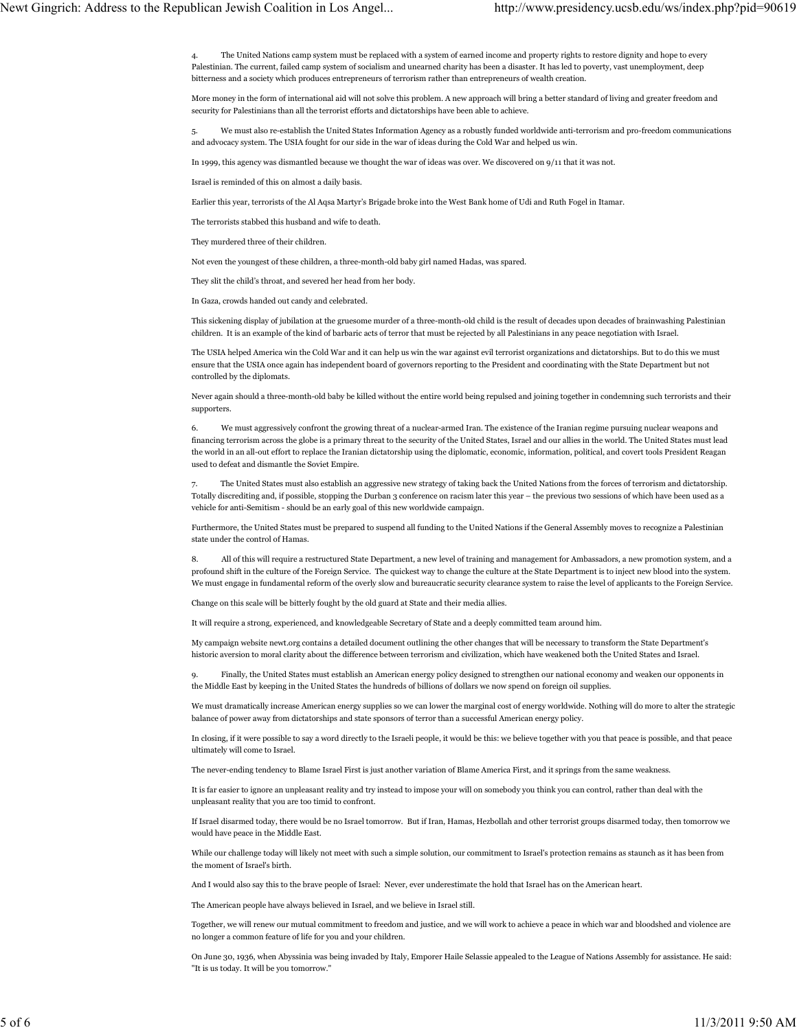4. The United Nations camp system must be replaced with a system of earned income and property rights to restore dignity and hope to every Palestinian. The current, failed camp system of socialism and unearned charity has been a disaster. It has led to poverty, vast unemployment, deep bitterness and a society which produces entrepreneurs of terrorism rather than entrepreneurs of wealth creation.

More money in the form of international aid will not solve this problem. A new approach will bring a better standard of living and greater freedom and security for Palestinians than all the terrorist efforts and dictatorships have been able to achieve.

5. We must also re-establish the United States Information Agency as a robustly funded worldwide anti-terrorism and pro-freedom communications and advocacy system. The USIA fought for our side in the war of ideas during the Cold War and helped us win.

In 1999, this agency was dismantled because we thought the war of ideas was over. We discovered on 9/11 that it was not.

Israel is reminded of this on almost a daily basis.

Earlier this year, terrorists of the Al Aqsa Martyr's Brigade broke into the West Bank home of Udi and Ruth Fogel in Itamar.

The terrorists stabbed this husband and wife to death.

They murdered three of their children.

Not even the youngest of these children, a three-month-old baby girl named Hadas, was spared.

They slit the child's throat, and severed her head from her body.

In Gaza, crowds handed out candy and celebrated.

This sickening display of jubilation at the gruesome murder of a three-month-old child is the result of decades upon decades of brainwashing Palestinian children. It is an example of the kind of barbaric acts of terror that must be rejected by all Palestinians in any peace negotiation with Israel.

The USIA helped America win the Cold War and it can help us win the war against evil terrorist organizations and dictatorships. But to do this we must ensure that the USIA once again has independent board of governors reporting to the President and coordinating with the State Department but not controlled by the diplomats.

Never again should a three-month-old baby be killed without the entire world being repulsed and joining together in condemning such terrorists and their supporters.

6. We must aggressively confront the growing threat of a nuclear-armed Iran. The existence of the Iranian regime pursuing nuclear weapons and financing terrorism across the globe is a primary threat to the security of the United States, Israel and our allies in the world. The United States must lead the world in an all-out effort to replace the Iranian dictatorship using the diplomatic, economic, information, political, and covert tools President Reagan used to defeat and dismantle the Soviet Empire.

7. The United States must also establish an aggressive new strategy of taking back the United Nations from the forces of terrorism and dictatorship. Totally discrediting and, if possible, stopping the Durban 3 conference on racism later this year – the previous two sessions of which have been used as a vehicle for anti-Semitism - should be an early goal of this new worldwide campaign.

Furthermore, the United States must be prepared to suspend all funding to the United Nations if the General Assembly moves to recognize a Palestinian state under the control of Hamas.

8. All of this will require a restructured State Department, a new level of training and management for Ambassadors, a new promotion system, and a profound shift in the culture of the Foreign Service. The quickest way to change the culture at the State Department is to inject new blood into the system. We must engage in fundamental reform of the overly slow and bureaucratic security clearance system to raise the level of applicants to the Foreign Service.

Change on this scale will be bitterly fought by the old guard at State and their media allies.

It will require a strong, experienced, and knowledgeable Secretary of State and a deeply committed team around him.

My campaign website newt.org contains a detailed document outlining the other changes that will be necessary to transform the State Department's historic aversion to moral clarity about the difference between terrorism and civilization, which have weakened both the United States and Israel.

9. Finally, the United States must establish an American energy policy designed to strengthen our national economy and weaken our opponents in the Middle East by keeping in the United States the hundreds of billions of dollars we now spend on foreign oil supplies.

We must dramatically increase American energy supplies so we can lower the marginal cost of energy worldwide. Nothing will do more to alter the strategic balance of power away from dictatorships and state sponsors of terror than a successful American energy policy.

In closing, if it were possible to say a word directly to the Israeli people, it would be this: we believe together with you that peace is possible, and that peace ultimately will come to Israel.

The never-ending tendency to Blame Israel First is just another variation of Blame America First, and it springs from the same weakness.

It is far easier to ignore an unpleasant reality and try instead to impose your will on somebody you think you can control, rather than deal with the unpleasant reality that you are too timid to confront.

If Israel disarmed today, there would be no Israel tomorrow. But if Iran, Hamas, Hezbollah and other terrorist groups disarmed today, then tomorrow we would have peace in the Middle East.

While our challenge today will likely not meet with such a simple solution, our commitment to Israel's protection remains as staunch as it has been from the moment of Israel's birth.

And I would also say this to the brave people of Israel: Never, ever underestimate the hold that Israel has on the American heart.

The American people have always believed in Israel, and we believe in Israel still.

Together, we will renew our mutual commitment to freedom and justice, and we will work to achieve a peace in which war and bloodshed and violence are no longer a common feature of life for you and your children.

On June 30, 1936, when Abyssinia was being invaded by Italy, Emporer Haile Selassie appealed to the League of Nations Assembly for assistance. He said: "It is us today. It will be you tomorrow."